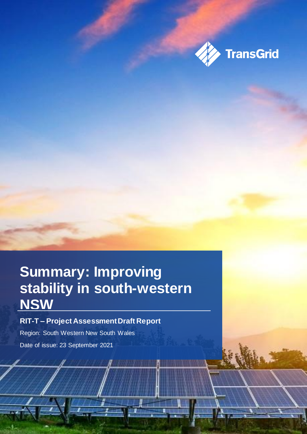

### **Summary: Improving stability in south-western NSW**

### **RIT-T – Project Assessment Draft Report**

Region: South Western New South Wales Date of issue: 23 September 2021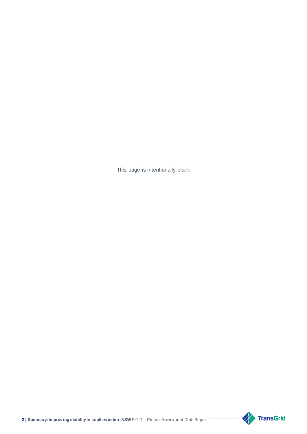This page is intentionally blank

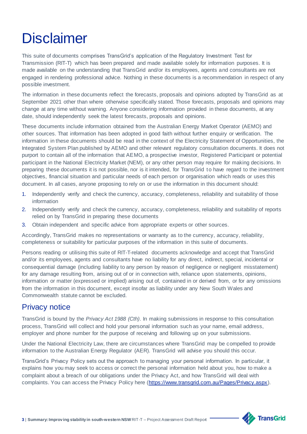# **Disclaimer**

This suite of documents comprises TransGrid's application of the Regulatory Investment Test for Transmission (RIT-T) which has been prepared and made available solely for information purposes. It is made available on the understanding that TransGrid and/or its employees, agents and consultants are not engaged in rendering professional advice. Nothing in these documents is a recommendation in respect of any possible investment.

The information in these documents reflect the forecasts, proposals and opinions adopted by TransGrid as at September 2021 other than where otherwise specifically stated. Those forecasts, proposals and opinions may change at any time without warning. Anyone considering information provided in these documents, at any date, should independently seek the latest forecasts, proposals and opinions.

These documents include information obtained from the Australian Energy Market Operator (AEMO) and other sources. That information has been adopted in good faith without further enquiry or verification. The information in these documents should be read in the context of the Electricity Statement of Opportunities, the Integrated System Plan published by AEMO and other relevant regulatory consultation documents. It does not purport to contain all of the information that AEMO, a prospective investor, Registered Participant or potential participant in the National Electricity Market (NEM), or any other person may require for making decisions. In preparing these documents it is not possible, nor is it intended, for TransGrid to have regard to the investment objectives, financial situation and particular needs of each person or organisation which reads or uses this document. In all cases, anyone proposing to rely on or use the information in this document should:

- 1. Independently verify and check the currency, accuracy, completeness, reliability and suitability of those information
- 2. Independently verify and check the currency, accuracy, completeness, reliability and suitability of reports relied on by TransGrid in preparing these documents
- 3. Obtain independent and specific advice from appropriate experts or other sources.

Accordingly, TransGrid makes no representations or warranty as to the currency, accuracy, reliability, completeness or suitability for particular purposes of the information in this suite of documents.

Persons reading or utilising this suite of RIT-T-related documents acknowledge and accept that TransGrid and/or its employees, agents and consultants have no liability for any direct, indirect, special, incidental or consequential damage (including liability to any person by reason of negligence or negligent misstatement) for any damage resulting from, arising out of or in connection with, reliance upon statements, opinions, information or matter (expressed or implied) arising out of, contained in or derived from, or for any omissions from the information in this document, except insofar as liability under any New South Wales and Commonwealth statute cannot be excluded.

### Privacy notice

TransGrid is bound by the *Privacy Act 1988 (Cth)*. In making submissions in response to this consultation process, TransGrid will collect and hold your personal information such as your name, email address, employer and phone number for the purpose of receiving and following up on your submissions.

Under the National Electricity Law, there are circumstances where TransGrid may be compelled to provide information to the Australian Energy Regulator (AER). TransGrid will advise you should this occur.

TransGrid's Privacy Policy sets out the approach to managing your personal information. In particular, it explains how you may seek to access or correct the personal information held about you, how to make a complaint about a breach of our obligations under the Privacy Act, and how TransGrid will deal with complaints. You can access the Privacy Policy here [\(https://www.transgrid.com.au/Pages/Privacy.aspx\)](https://www.transgrid.com.au/Pages/Privacy.aspx).

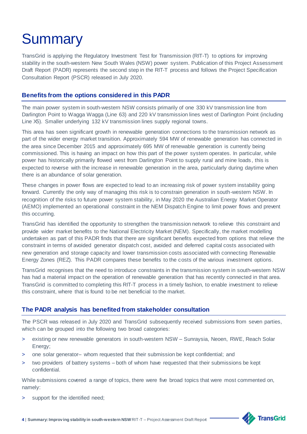# **Summary**

TransGrid is applying the Regulatory Investment Test for Transmission (RIT-T) to options for improving stability in the south-western New South Wales (NSW) power system. Publication of this Project Assessment Draft Report (PADR) represents the second step in the RIT-T process and follows the Project Specification Consultation Report (PSCR) released in July 2020.

#### **Benefits from the options considered in this PADR**

The main power system in south-western NSW consists primarily of one 330 kV transmission line from Darlington Point to Wagga Wagga (Line 63) and 220 kV transmission lines west of Darlington Point (including Line X5). Smaller underlying 132 kV transmission lines supply regional towns.

This area has seen significant growth in renewable generation connections to the transmission network as part of the wider energy market transition. Approximately 594 MW of renewable generation has connected in the area since December 2015 and approximately 695 MW of renewable generation is currently being commissioned. This is having an impact on how this part of the power system operates. In particular, while power has historically primarily flowed west from Darlington Point to supply rural and mine loads, this is expected to reverse with the increase in renewable generation in the area, particularly during daytime when there is an abundance of solar generation.

These changes in power flows are expected to lead to an increasing risk of power system instability going forward. Currently the only way of managing this risk is to constrain generation in south-western NSW. In recognition of the risks to future power system stability, in May 2020 the Australian Energy Market Operator (AEMO) implemented an operational constraint in the NEM Dispatch Engine to limit power flows and prevent this occurring.

TransGrid has identified the opportunity to strengthen the transmission network to relieve this constraint and provide wider market benefits to the National Electricity Market (NEM). Specifically, the market modelling undertaken as part of this PADR finds that there are significant benefits expected from options that relieve the constraint in terms of avoided generator dispatch cost, avoided and deferred capital costs associated with new generation and storage capacity and lower transmission costs associated with connecting Renewable Energy Zones (REZ). This PADR compares these benefits to the costs of the various investment options.

TransGrid recognises that the need to introduce constraints in the transmission system in south-western NSW has had a material impact on the operation of renewable generation that has recently connected in that area. TransGrid is committed to completing this RIT-T process in a timely fashion, to enable investment to relieve this constraint, where that is found to be net beneficial to the market.

#### **The PADR analysis has benefited from stakeholder consultation**

The PSCR was released in July 2020 and TransGrid subsequently received submissions from seven parties, which can be grouped into the following two broad categories:

- > existing or new renewable generators in south-western NSW Sunraysia, Neoen, RWE, Reach Solar Energy;
- > one solar generator– whom requested that their submission be kept confidential; and
- > two providers of battery systems both of whom have requested that their submissions be kept confidential.

While submissions covered a range of topics, there were five broad topics that were most commented on, namely:

support for the identified need;

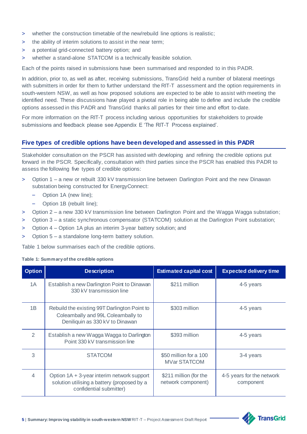- > whether the construction timetable of the new/rebuild line options is realistic;
- > the ability of interim solutions to assist in the near term;
- > a potential grid-connected battery option; and
- > whether a stand-alone STATCOM is a technically feasible solution.

Each of the points raised in submissions have been summarised and responded to in this PADR.

In addition, prior to, as well as after, receiving submissions, TransGrid held a number of bilateral meetings with submitters in order for them to further understand the RIT-T assessment and the option requirements in south-western NSW, as well as how proposed solutions are expected to be able to assist with meeting the identified need. These discussions have played a pivotal role in being able to define and include the credible options assessed in this PADR and TransGrid thanks all parties for their time and effort to-date.

For more information on the RIT-T process including various opportunities for stakeholders to provide submissions and feedback please see Appendix E 'The RIT-T Process explained'.

#### **Five types of credible options have been developed and assessed in this PADR**

Stakeholder consultation on the PSCR has assisted with developing and refining the credible options put forward in the PSCR. Specifically, consultation with third parties since the PSCR has enabled this PADR to assess the following five types of credible options:

- > Option 1 a new or rebuilt 330 kV transmission line between Darlington Point and the new Dinawan substation being constructed for EnergyConnect:
	- Option 1A (new line);
	- Option 1B (rebuilt line);
- > Option 2 a new 330 kV transmission line between Darlington Point and the Wagga Wagga substation;
- > Option 3 a static synchronous compensator (STATCOM) solution at the Darlington Point substation;
- > Option 4 Option 1A plus an interim 3-year battery solution; and
- Option  $5 a$  standalone long-term battery solution.

Table 1 below summarises each of the credible options.

#### **Table 1: Summary of the credible options**

| <b>Option</b> | <b>Description</b>                                                                                                    | <b>Estimated capital cost</b>                 | <b>Expected delivery time</b>          |
|---------------|-----------------------------------------------------------------------------------------------------------------------|-----------------------------------------------|----------------------------------------|
| 1A            | Establish a new Darlington Point to Dinawan<br>330 kV transmission line                                               | \$211 million                                 | 4-5 years                              |
| 1B            | Rebuild the existing 99T Darlington Point to<br>Coleambally and 99L Coleambally to<br>Deniliquin as 330 kV to Dinawan | \$303 million                                 | 4-5 years                              |
| 2             | Establish a new Wagga Wagga to Darlington<br>Point 330 kV transmission line                                           | \$393 million                                 | 4-5 years                              |
| 3             | <b>STATCOM</b>                                                                                                        | \$50 million for a 100<br><b>MVar STATCOM</b> | 3-4 years                              |
| 4             | Option 1A + 3-year interim network support<br>solution utilising a battery (proposed by a<br>confidential submitter)  | \$211 million (for the<br>network component)  | 4-5 years for the network<br>component |

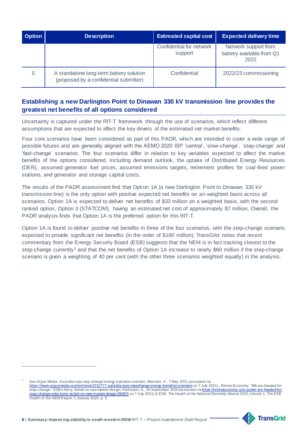| <b>Option</b> | <b>Description</b>                                                                | <b>Estimated capital cost</b>       | <b>Expected delivery time</b>                             |
|---------------|-----------------------------------------------------------------------------------|-------------------------------------|-----------------------------------------------------------|
|               |                                                                                   | Confidential for network<br>support | Network support from<br>battery available from Q1<br>2022 |
| 5             | A standalone long-term battery solution<br>(proposed by a confidential submitter) | Confidential                        | 2022/23 commissioning                                     |

#### **Establishing a new Darlington Point to Dinawan 330 kV transmission line provides the greatest net benefits of all options considered**

Uncertainty is captured under the RIT-T framework through the use of scenarios, which reflect different assumptions that are expected to affect the key drivers of the estimated net market benefits.

Four core scenarios have been considered as part of this PADR, which are intended to cover a wide range of possible futures and are generally aligned with the AEMO 2020 ISP 'central', 'slow-change', 'step-change' and 'fast-change' scenarios. The four scenarios differ in relation to key variables expected to affect the market benefits of the options considered, including demand outlook, the uptake of Distributed Energy Resources (DER), assumed generator fuel prices, assumed emissions targets, retirement profiles for coal-fired power stations, and generator and storage capital costs.

The results of the PADR assessment find that Option 1A (a new Darlington Point to Dinawan 330 kV transmission line) is the only option with positive expected net benefits on an weighted basis across all scenarios. Option 1A is expected to deliver net benefits of \$33 million on a weighted basis, with the second ranked option, Option 3 (STATCOM), having an estimated net cost of approximately \$7 million. Overall, the PADR analysis finds that Option 1A is the preferred option for this RIT-T.

Option 1A is found to deliver positive net benefits in three of the four scenarios, with the step-change scenario expected to provide significant net benefits (in the order of \$160 million). TransGrid notes that recent commentary from the Energy Security Board (ESB) suggests that the NEM is in fact tracking closest to the step-change currently<sup>1</sup> and that the net benefits of Option 1A increase to nearly \$60 million if the step-change scenario is given a weighting of 40 per cent (with the other three scenarios weighted equally) in the analysis.

<sup>1</sup> See Argus Media, Australia tops step-change energy transition scenario, Morrison, K., 7 May 2021 (accessed via <https://www.argusmedia.com/en/news/2212777-australia-tops-stepchange-energy-transition-scenario> on 7 July 2021) , Renew Economy, *"We are headed for step change:" ESB's Kerry Schott on new market design,* Parkinson, G., 30 September 2020 (accessed vi[a https://reneweconomy.com.au/we-are-headed-for](https://reneweconomy.com.au/we-are-headed-for-step-change-esbs-kerry-schott-on-new-market-design-89487/)[step-change-esbs-kerry-schott-on-new-market-design-89487/](https://reneweconomy.com.au/we-are-headed-for-step-change-esbs-kerry-schott-on-new-market-design-89487/) on 7 July 2021) & ESB, *The Health of the National Electricity Market 2020*, Volume 1: The ESB Health of the NEM Report, 5 January 2020, p. 8.



 $\overline{a}$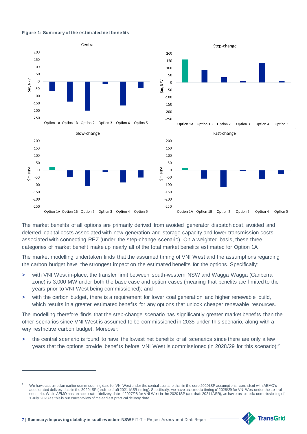





The market benefits of all options are primarily derived from avoided generator dispatch cost, avoided and deferred capital costs associated with new generation and storage capacity and lower transmission costs associated with connecting REZ (under the step-change scenario). On a weighted basis, these three categories of market benefit make up nearly all of the total market benefits estimated for Option 1A.

The market modelling undertaken finds that the assumed timing of VNI West and the assumptions regarding the carbon budget have the strongest impact on the estimated benefits for the options. Specifically:

- > with VNI West in-place, the transfer limit between south-western NSW and Wagga Wagga (Canberra zone) is 3,000 MW under both the base case and option cases (meaning that benefits are limited to the years prior to VNI West being commissioned); and
- > with the carbon budget, there is a requirement for lower coal generation and higher renewable build, which results in a greater estimated benefits for any options that unlock cheaper renewable resources.

The modelling therefore finds that the step-change scenario has significantly greater market benefits than the other scenarios since VNI West is assumed to be commissioned in 2035 under this scenario, along with a very restrictive carbon budget. Moreover:

> the central scenario is found to have the lowest net benefits of all scenarios since there are only a few years that the options provide benefits before VNI West is commissioned (in 2028/29 for this scenario);<sup>2</sup>

<sup>2</sup> We hav e assumed an earlier commissioning date for VNI West under the central scenario than in the core 2020 ISP assumptions, consistent with AEMO's accelerated delivery date in the 2020 ISP (and the draft 2021 IASR timing). Specifically, we have assumed a timing of 2028/29 for VNI West under the central scenario. While AEMO has an accelerated delivery date of 2027/28 for VNI West in the 2020 ISP (and draft 2021 IASR), we hav e assumed a commissioning of 1 July 2028 as this is our current view of the earliest practical delivery date.



ł